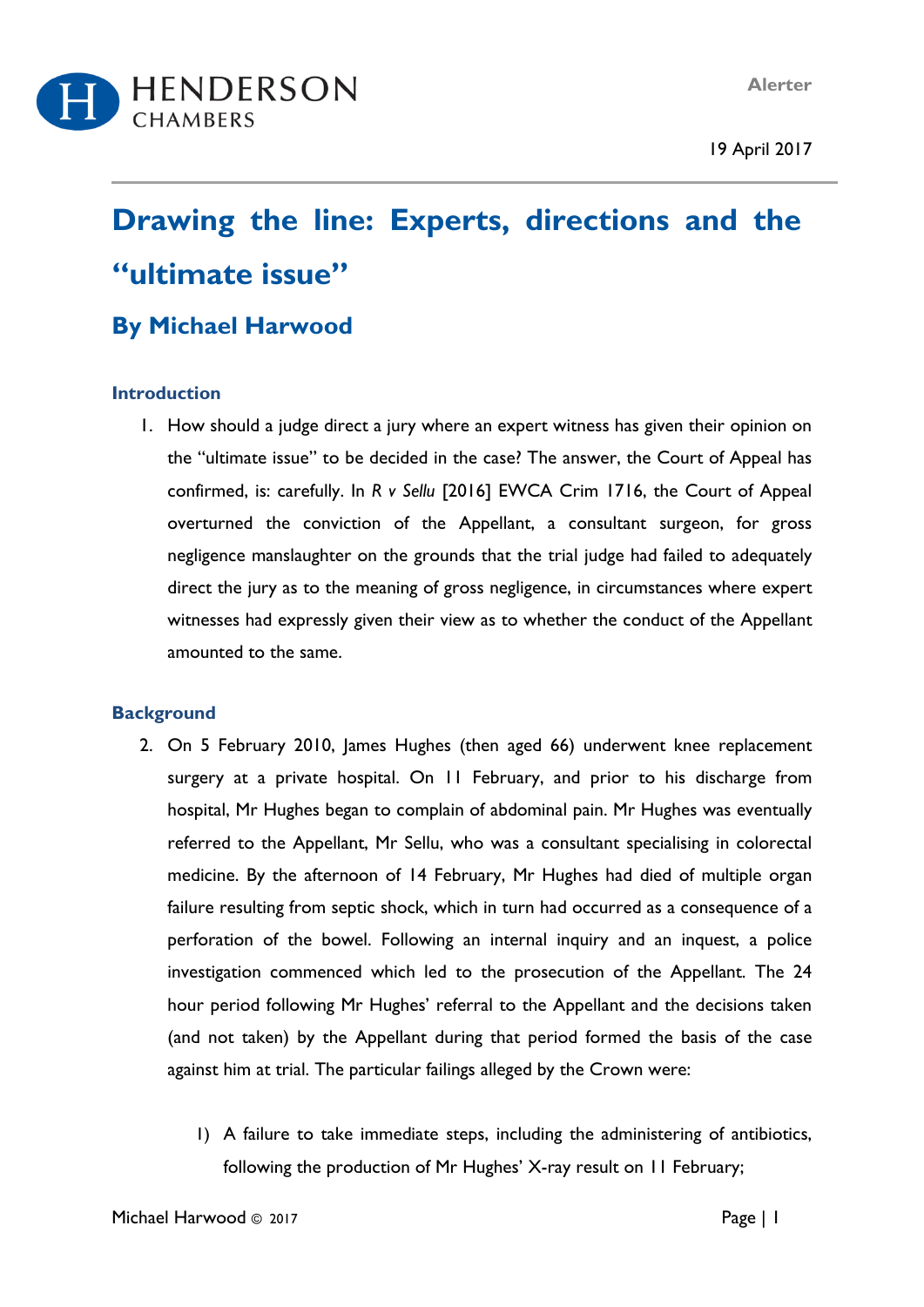**Alerter**

19 April 2017



# **Drawing the line: Experts, directions and the "ultimate issue"**

# **By Michael Harwood**

### **Introduction**

1. How should a judge direct a jury where an expert witness has given their opinion on the "ultimate issue" to be decided in the case? The answer, the Court of Appeal has confirmed, is: carefully. In *R v Sellu* [2016] EWCA Crim 1716, the Court of Appeal overturned the conviction of the Appellant, a consultant surgeon, for gross negligence manslaughter on the grounds that the trial judge had failed to adequately direct the jury as to the meaning of gross negligence, in circumstances where expert witnesses had expressly given their view as to whether the conduct of the Appellant amounted to the same.

# **Background**

- 2. On 5 February 2010, James Hughes (then aged 66) underwent knee replacement surgery at a private hospital. On 11 February, and prior to his discharge from hospital, Mr Hughes began to complain of abdominal pain. Mr Hughes was eventually referred to the Appellant, Mr Sellu, who was a consultant specialising in colorectal medicine. By the afternoon of 14 February, Mr Hughes had died of multiple organ failure resulting from septic shock, which in turn had occurred as a consequence of a perforation of the bowel. Following an internal inquiry and an inquest, a police investigation commenced which led to the prosecution of the Appellant. The 24 hour period following Mr Hughes' referral to the Appellant and the decisions taken (and not taken) by the Appellant during that period formed the basis of the case against him at trial. The particular failings alleged by the Crown were:
	- 1) A failure to take immediate steps, including the administering of antibiotics, following the production of Mr Hughes' X-ray result on 11 February;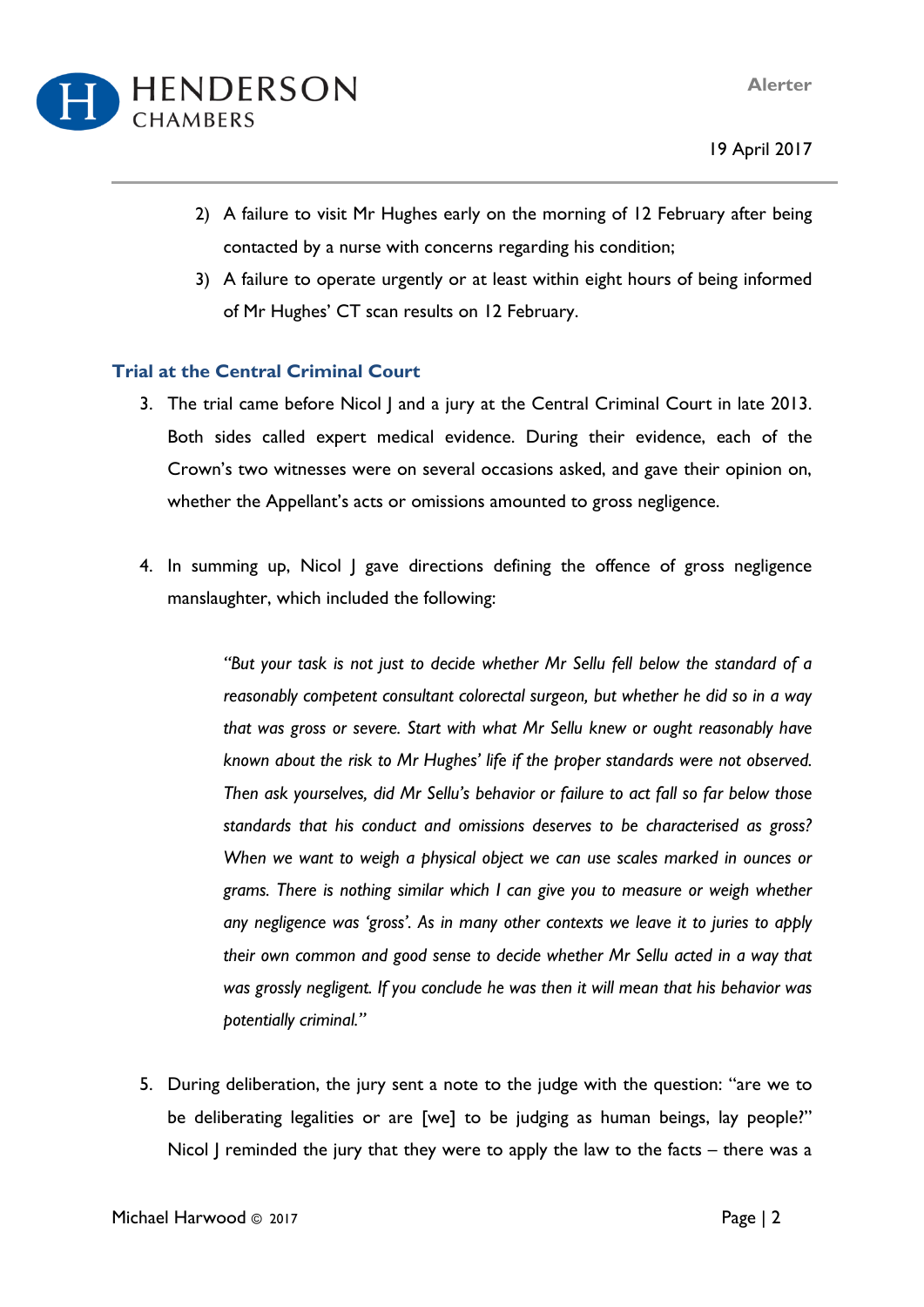

- 19 April 2017
- 2) A failure to visit Mr Hughes early on the morning of 12 February after being contacted by a nurse with concerns regarding his condition;
- 3) A failure to operate urgently or at least within eight hours of being informed of Mr Hughes' CT scan results on 12 February.

## **Trial at the Central Criminal Court**

- 3. The trial came before Nicol J and a jury at the Central Criminal Court in late 2013. Both sides called expert medical evidence. During their evidence, each of the Crown's two witnesses were on several occasions asked, and gave their opinion on, whether the Appellant's acts or omissions amounted to gross negligence.
- 4. In summing up, Nicol J gave directions defining the offence of gross negligence manslaughter, which included the following:

*"But your task is not just to decide whether Mr Sellu fell below the standard of a reasonably competent consultant colorectal surgeon, but whether he did so in a way that was gross or severe. Start with what Mr Sellu knew or ought reasonably have known about the risk to Mr Hughes' life if the proper standards were not observed. Then ask yourselves, did Mr Sellu's behavior or failure to act fall so far below those standards that his conduct and omissions deserves to be characterised as gross? When we want to weigh a physical object we can use scales marked in ounces or grams. There is nothing similar which I can give you to measure or weigh whether any negligence was 'gross'. As in many other contexts we leave it to juries to apply their own common and good sense to decide whether Mr Sellu acted in a way that was grossly negligent. If you conclude he was then it will mean that his behavior was potentially criminal."*

5. During deliberation, the jury sent a note to the judge with the question: "are we to be deliberating legalities or are [we] to be judging as human beings, lay people?" Nicol J reminded the jury that they were to apply the law to the facts – there was a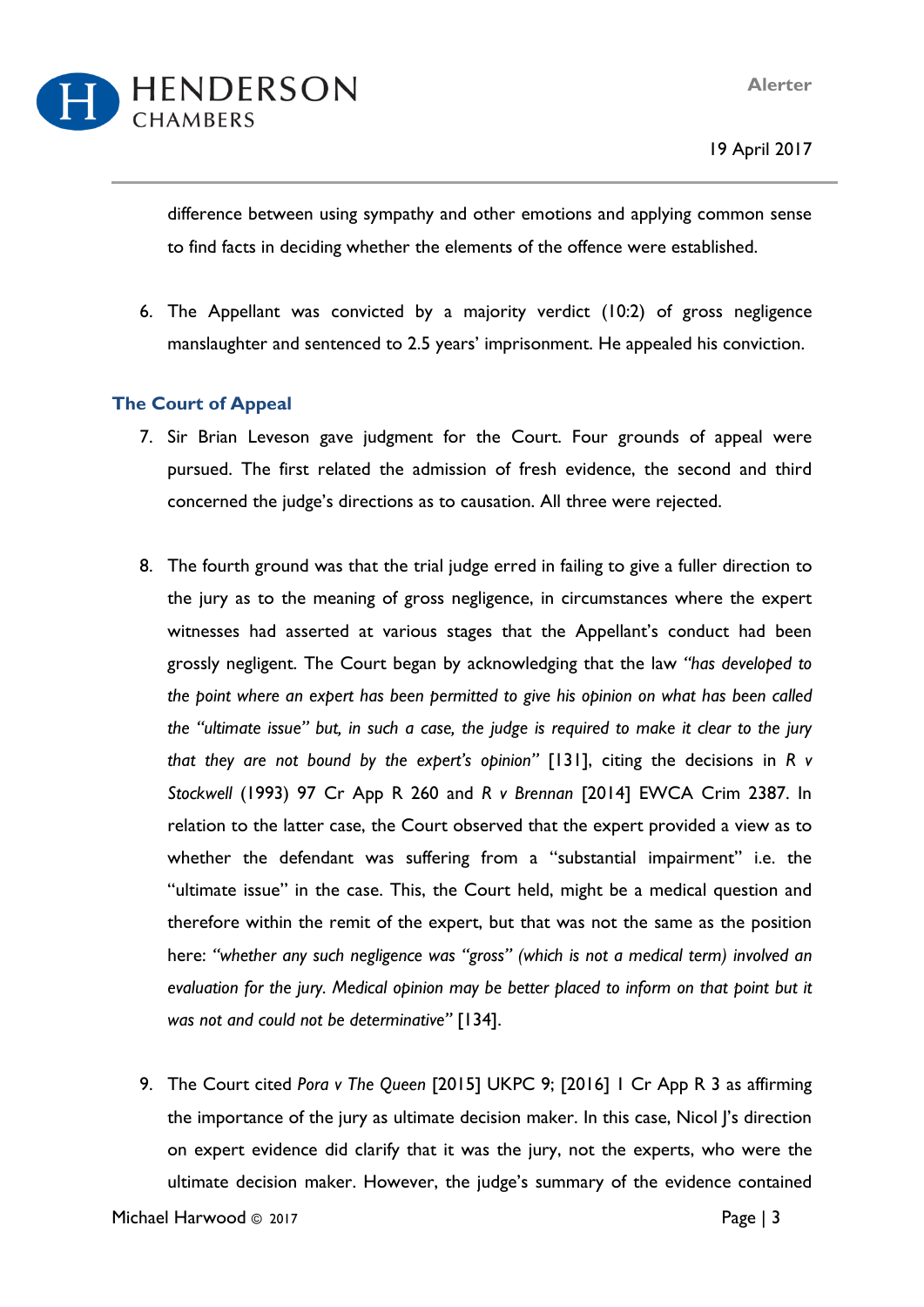

difference between using sympathy and other emotions and applying common sense to find facts in deciding whether the elements of the offence were established.

6. The Appellant was convicted by a majority verdict (10:2) of gross negligence manslaughter and sentenced to 2.5 years' imprisonment. He appealed his conviction.

### **The Court of Appeal**

- 7. Sir Brian Leveson gave judgment for the Court. Four grounds of appeal were pursued. The first related the admission of fresh evidence, the second and third concerned the judge's directions as to causation. All three were rejected.
- 8. The fourth ground was that the trial judge erred in failing to give a fuller direction to the jury as to the meaning of gross negligence, in circumstances where the expert witnesses had asserted at various stages that the Appellant's conduct had been grossly negligent. The Court began by acknowledging that the law *"has developed to the point where an expert has been permitted to give his opinion on what has been called* the "ultimate issue" but, in such a case, the judge is required to make it clear to the jury *that they are not bound by the expert's opinion"* [131], citing the decisions in *R v Stockwell* (1993) 97 Cr App R 260 and *R v Brennan* [2014] EWCA Crim 2387. In relation to the latter case, the Court observed that the expert provided a view as to whether the defendant was suffering from a "substantial impairment" i.e. the "ultimate issue" in the case. This, the Court held, might be a medical question and therefore within the remit of the expert, but that was not the same as the position here: *"whether any such negligence was "gross" (which is not a medical term) involved an evaluation for the jury. Medical opinion may be better placed to inform on that point but it was not and could not be determinative"* [134].
- 9. The Court cited *Pora v The Queen* [2015] UKPC 9; [2016] 1 Cr App R 3 as affirming the importance of the jury as ultimate decision maker. In this case, Nicol J's direction on expert evidence did clarify that it was the jury, not the experts, who were the ultimate decision maker. However, the judge's summary of the evidence contained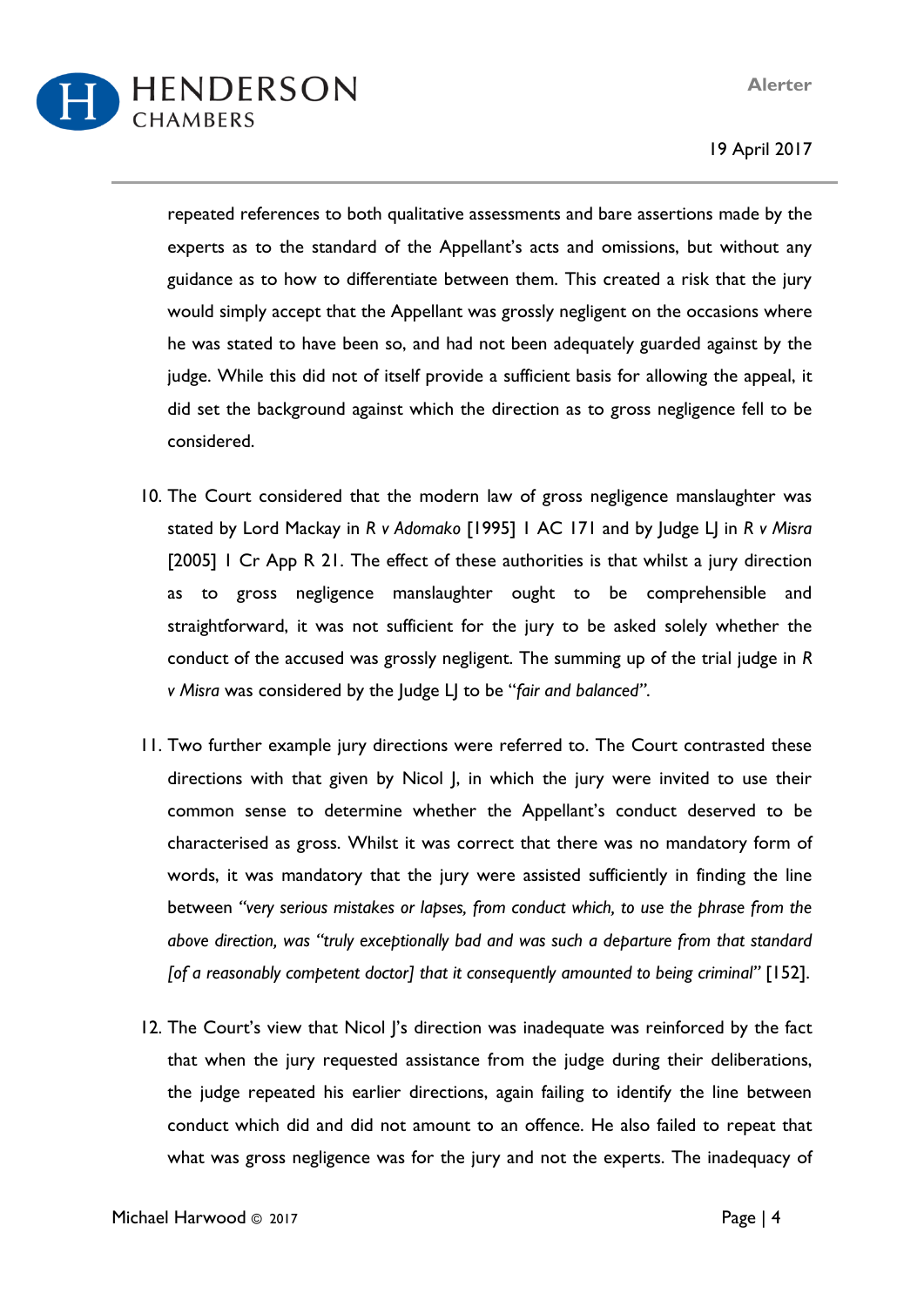**Alerter**

HENDERSON CHAMBERS

19 April 2017

repeated references to both qualitative assessments and bare assertions made by the experts as to the standard of the Appellant's acts and omissions, but without any guidance as to how to differentiate between them. This created a risk that the jury would simply accept that the Appellant was grossly negligent on the occasions where he was stated to have been so, and had not been adequately guarded against by the judge. While this did not of itself provide a sufficient basis for allowing the appeal, it did set the background against which the direction as to gross negligence fell to be considered.

- 10. The Court considered that the modern law of gross negligence manslaughter was stated by Lord Mackay in *R v Adomako* [1995] 1 AC 171 and by Judge LJ in *R v Misra* [2005] 1 Cr App R 21. The effect of these authorities is that whilst a jury direction as to gross negligence manslaughter ought to be comprehensible and straightforward, it was not sufficient for the jury to be asked solely whether the conduct of the accused was grossly negligent. The summing up of the trial judge in *R v Misra* was considered by the Judge LJ to be "*fair and balanced"*.
- 11. Two further example jury directions were referred to. The Court contrasted these directions with that given by Nicol J, in which the jury were invited to use their common sense to determine whether the Appellant's conduct deserved to be characterised as gross. Whilst it was correct that there was no mandatory form of words, it was mandatory that the jury were assisted sufficiently in finding the line between *"very serious mistakes or lapses, from conduct which, to use the phrase from the above direction, was "truly exceptionally bad and was such a departure from that standard [of a reasonably competent doctor] that it consequently amounted to being criminal"* [152].
- 12. The Court's view that Nicol I's direction was inadequate was reinforced by the fact that when the jury requested assistance from the judge during their deliberations, the judge repeated his earlier directions, again failing to identify the line between conduct which did and did not amount to an offence. He also failed to repeat that what was gross negligence was for the jury and not the experts. The inadequacy of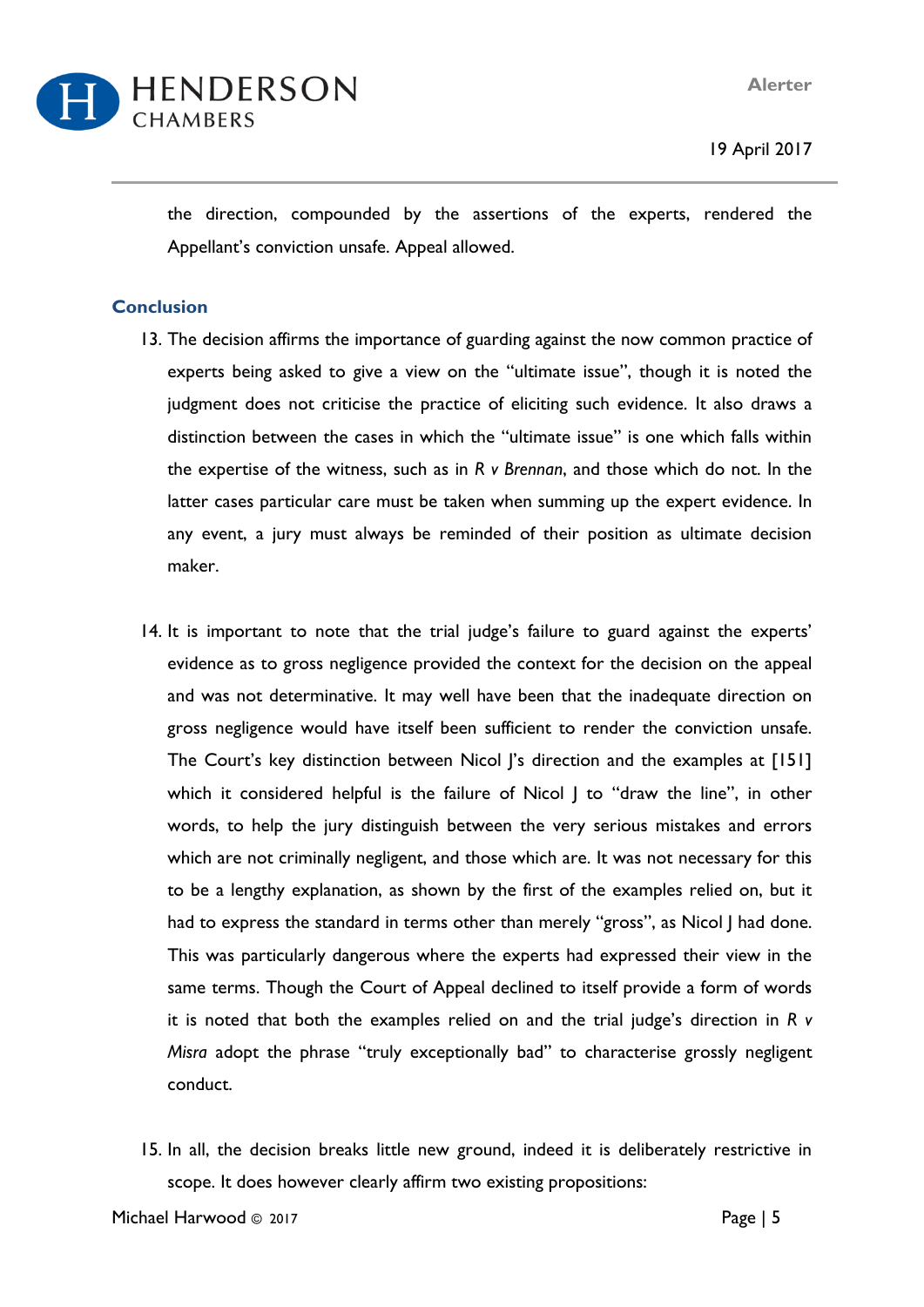**Alerter**



19 April 2017

the direction, compounded by the assertions of the experts, rendered the Appellant's conviction unsafe. Appeal allowed.

#### **Conclusion**

- 13. The decision affirms the importance of guarding against the now common practice of experts being asked to give a view on the "ultimate issue", though it is noted the judgment does not criticise the practice of eliciting such evidence. It also draws a distinction between the cases in which the "ultimate issue" is one which falls within the expertise of the witness, such as in *R v Brennan*, and those which do not. In the latter cases particular care must be taken when summing up the expert evidence. In any event, a jury must always be reminded of their position as ultimate decision maker.
- 14. It is important to note that the trial judge's failure to guard against the experts' evidence as to gross negligence provided the context for the decision on the appeal and was not determinative. It may well have been that the inadequate direction on gross negligence would have itself been sufficient to render the conviction unsafe. The Court's key distinction between Nicol |'s direction and the examples at [151] which it considered helpful is the failure of Nicol | to "draw the line", in other words, to help the jury distinguish between the very serious mistakes and errors which are not criminally negligent, and those which are. It was not necessary for this to be a lengthy explanation, as shown by the first of the examples relied on, but it had to express the standard in terms other than merely "gross", as Nicol | had done. This was particularly dangerous where the experts had expressed their view in the same terms. Though the Court of Appeal declined to itself provide a form of words it is noted that both the examples relied on and the trial judge's direction in *R v Misra* adopt the phrase "truly exceptionally bad" to characterise grossly negligent conduct.
- 15. In all, the decision breaks little new ground, indeed it is deliberately restrictive in scope. It does however clearly affirm two existing propositions: